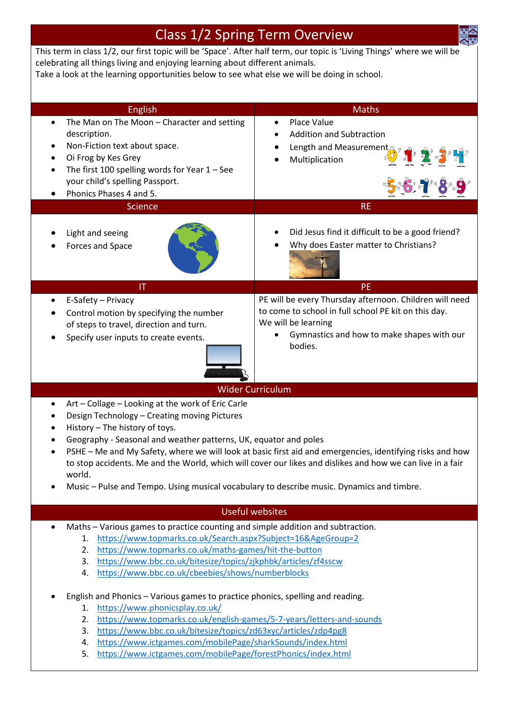